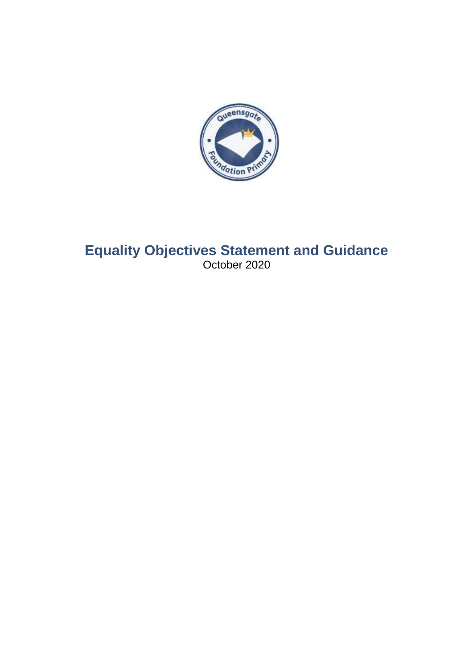

# **Equality Objectives Statement and Guidance** October 2020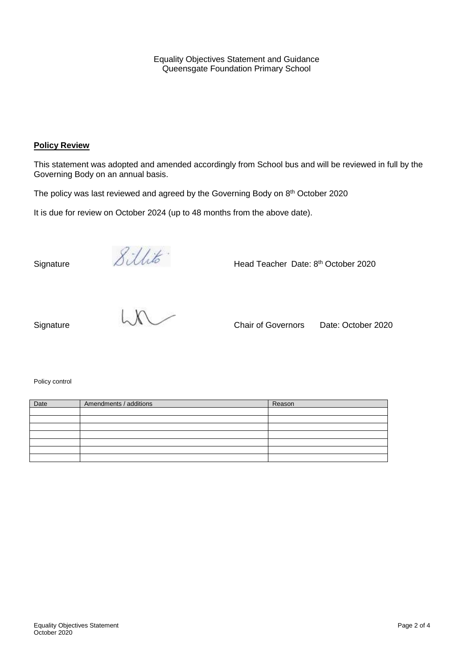Equality Objectives Statement and Guidance Queensgate Foundation Primary School

#### **Policy Review**

This statement was adopted and amended accordingly from School bus and will be reviewed in full by the Governing Body on an annual basis.

The policy was last reviewed and agreed by the Governing Body on 8<sup>th</sup> October 2020

It is due for review on October 2024 (up to 48 months from the above date).

Signature *Sillits* Head Teacher Date: 8<sup>th</sup> October 2020



Policy control

| Date | Amendments / additions | Reason |
|------|------------------------|--------|
|      |                        |        |
|      |                        |        |
|      |                        |        |
|      |                        |        |
|      |                        |        |
|      |                        |        |
|      |                        |        |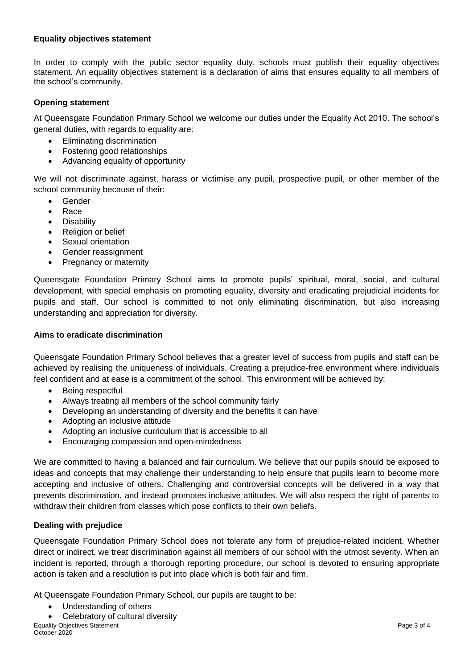# **Equality objectives statement**

In order to comply with the public sector equality duty, schools must publish their equality objectives statement. An equality objectives statement is a declaration of aims that ensures equality to all members of the school's community.

# **Opening statement**

At Queensgate Foundation Primary School we welcome our duties under the Equality Act 2010. The school's general duties, with regards to equality are:

- Eliminating discrimination
- Fostering good relationships
- Advancing equality of opportunity

We will not discriminate against, harass or victimise any pupil, prospective pupil, or other member of the school community because of their:

- Gender
- Race
- **•** Disability
- Religion or belief
- Sexual orientation
- Gender reassignment
- Pregnancy or maternity

Queensgate Foundation Primary School aims to promote pupils' spiritual, moral, social, and cultural development, with special emphasis on promoting equality, diversity and eradicating prejudicial incidents for pupils and staff. Our school is committed to not only eliminating discrimination, but also increasing understanding and appreciation for diversity.

## **Aims to eradicate discrimination**

Queensgate Foundation Primary School believes that a greater level of success from pupils and staff can be achieved by realising the uniqueness of individuals. Creating a prejudice-free environment where individuals feel confident and at ease is a commitment of the school. This environment will be achieved by:

- Being respectful
- Always treating all members of the school community fairly
- Developing an understanding of diversity and the benefits it can have
- Adopting an inclusive attitude
- Adopting an inclusive curriculum that is accessible to all
- Encouraging compassion and open-mindedness

We are committed to having a balanced and fair curriculum. We believe that our pupils should be exposed to ideas and concepts that may challenge their understanding to help ensure that pupils learn to become more accepting and inclusive of others. Challenging and controversial concepts will be delivered in a way that prevents discrimination, and instead promotes inclusive attitudes. We will also respect the right of parents to withdraw their children from classes which pose conflicts to their own beliefs.

## **Dealing with prejudice**

Queensgate Foundation Primary School does not tolerate any form of prejudice-related incident. Whether direct or indirect, we treat discrimination against all members of our school with the utmost severity. When an incident is reported, through a thorough reporting procedure, our school is devoted to ensuring appropriate action is taken and a resolution is put into place which is both fair and firm.

At Queensgate Foundation Primary School, our pupils are taught to be:

- Understanding of others
- **Equality Objectives Statement Page 3 of 4 Page 3 of 4 Page 3 of 4** Celebratory of cultural diversity